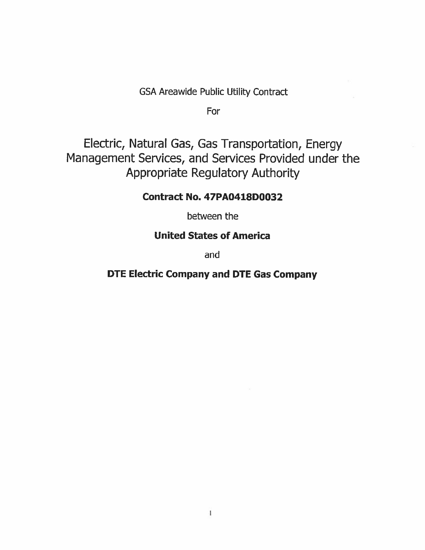GSA Areawide Public Utility Contract

For

Electric, Natural Gas, Gas Transportation, Energy Management Services, and Services Provided under the Appropriate Regulatory Authority

# **Contract No. 47PA0418D0032**

between the

# **United States of America**

and

# **DTE Electric Company and DTE Gas Company**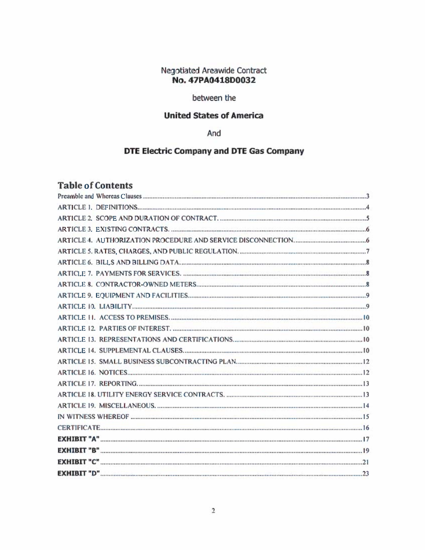# **Negotiated Areawide Contract** No. 47PA0418D0032

# between the

# **United States of America**

# And

# DTE Electric Company and DTE Gas Company

# **Table of Contents**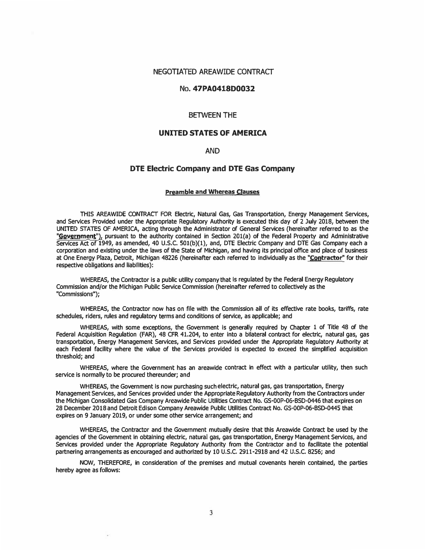#### NEGOTIATED AREAWIDE CONTRACT

### No.47PA0418D0032

### BETWEEN THE

### **UNITED STATES OF AMERICA**

### AND

### **DTE Electric Company and DTE Gas Company**

#### **Preamble and Whereas Clauses**

**THIS AREAWIDE CONTRACT FOR Electric, Natural Gas, Gas Transportation, Energy Management Services,**  and Services Provided under the Appropriate Regulatory Authority is executed this day of 2 July 2018, between the **UNITED STATES OF AMERICA, acting through the Administrator of General Services (hereinafter referred to as the "Government"), pursuant to the authority contained in Section 201(a) of the Federal Property and Administrative Services Act of 1949, as amended, 40 U.S.C. SOl(b)(l), and, DTE Electric Company and DTE Gas Company each a corporation and existing under the laws of the State of Michigan, and having its principal office and place of business at One Energy Plaza, Detroit, Michigan 48226 (hereinafter each referred to Individually as the "Contractor" for their** respective obligations and liabilities):

**WHEREAS, the Contractor is a publrc utility company that Is regulated by the Federal Energy Regulatory Commission and/or the Michigan Public Service Commission (hereinafter referred to collectively as the "Commissions");**

**WHEREAS, the Contractor now has on file with the Commission all of its effective rate books, tariffs, rate schedules, riders, rules and regulatory terms and conditions of service, as applicable; and**

**WHEREAS, with some exceptions, the Government is generally required by Chapter 1 of Title 48 of the Federal Acquisition Regulation (FAR), 48 CFR 41.204, to enter into a bilateral contract for electric, natural gas, gas transportation, Energy Management Services, and Services provided under the Appropriate Regulatory Authority at each Federal facility where the value of the Services provided is expected to exceed the simplified acquisition threshold; and**

**WHEREAS, where the Government has an areawide contract In effect with a particular utility, then such** service is normally to be procured thereunder; and

**WHEREAS, the Government Is now purchasing such electric, natural gas, gas transportation, Energy Management Services, and Services provided under the Appropriate Regulatory Authority from the Contractors under the Michigan Consolidated Gas Company Areawide Public Utilitles Contract No. GS-OOP·06·BSD-0446 that expires on 28 December 2018 and Detroit Edison Company Areawide Public Utilities Contract No. GS-OOP-06-BSD-0445 that expires on 9 January 2019, or under some other service arrangement; and**

**WHEREAS, the Contractor and the Government mutually desire that this Areawide Contract be used by the agencies of the Government In obtaining electric, natural gas, gas transportation, Energy Management Services, and Services provided under the Appropriate Regulatory Authority from the Contractor and to facilitate the potential partnering arrangements as encouraged and authorized by 10 U.S.C. 2911-2918 and 42 U.S.C. 8256; and**

**NOW, THEREFORE, in consideration of the premises and mutual covenants herein contained, the parties hereby agree as follows:**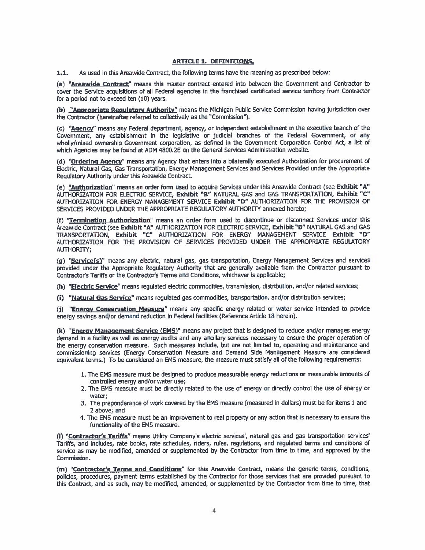### **ARTICLE 1. DEFINITIONS.**

 $1.1.$ As used in this Areawide Contract, the following terms have the meaning as prescribed below:

(a) "Areawide Contract" means this master contract entered into between the Government and Contractor to cover the Service acquisitions of all Federal agencies in the franchised certificated service territory from Contractor for a period not to exceed ten (10) years.

(b) "Appropriate Regulatory Authority" means the Michigan Public Service Commission having jurisdiction over the Contractor (hereinafter referred to collectively as the "Commission").

(c) "Agency" means any Federal department, agency, or independent establishment in the executive branch of the Government, any establishment in the legislative or judicial branches of the Federal Government, or any wholly/mixed ownership Government corporation, as defined in the Government Corporation Control Act, a list of which Agencies may be found at ADM 4800.2E on the General Services Administration website.

(d) "Ordering Agency" means any Agency that enters into a bilaterally executed Authorization for procurement of Electric, Natural Gas, Gas Transportation, Energy Management Services and Services Provided under the Appropriate Regulatory Authority under this Areawide Contract.

(e) "Authorization" means an order form used to acquire Services under this Areawide Contract (see Exhibit "A" AUTHORIZATION FOR ELECTRIC SERVICE, Exhibit "B" NATURAL GAS and GAS TRANSPORTATION, Exhibit "C" AUTHORIZATION FOR ENERGY MANAGEMENT SERVICE Exhibit "D" AUTHORIZATION FOR THE PROVISION OF SERVICES PROVIDED UNDER THE APPROPRIATE REGULATORY AUTHORITY annexed hereto;

(f) "Termination Authorization" means an order form used to discontinue or disconnect Services under this Areawide Contract (see Exhibit "A" AUTHORIZATION FOR ELECTRIC SERVICE, Exhibit "B" NATURAL GAS and GAS TRANSPORTATION, Exhibit "C" AUTHORIZATION FOR ENERGY MANAGEMENT SERVICE Exhibit "D" AUTHORIZATION FOR THE PROVISION OF SERVICES PROVIDED UNDER THE APPROPRIATE REGULATORY **AUTHORITY;** 

(g) "Service(s)" means any electric, natural gas, gas transportation, Energy Management Services and services provided under the Appropriate Regulatory Authority that are generally available from the Contractor pursuant to Contractor's Tariffs or the Contractor's Terms and Conditions, whichever is applicable;

(h) "Electric Service" means regulated electric commodities, transmission, distribution, and/or related services;

(i) "Natural Gas Service" means regulated gas commodities, transportation, and/or distribution services;

(j) "Energy Conservation Measure" means any specific energy related or water service intended to provide energy savings and/or demand reduction in Federal facilities (Reference Article 18 herein).

(k) "Energy Management Service (EMS)" means any project that is designed to reduce and/or manages energy demand in a facility as well as energy audits and any ancillary services necessary to ensure the proper operation of the energy conservation measure. Such measures include, but are not limited to, operating and maintenance and commissioning services (Energy Conservation Measure and Demand Side Management Measure are considered equivalent terms.) To be considered an EMS measure, the measure must satisfy all of the following requirements:

- 1. The EMS measure must be designed to produce measurable energy reductions or measurable amounts of controlled energy and/or water use;
- 2. The EMS measure must be directly related to the use of energy or directly control the use of energy or water:
- 3. The preponderance of work covered by the EMS measure (measured in dollars) must be for items 1 and 2 above; and
- 4. The EMS measure must be an improvement to real property or any action that is necessary to ensure the functionality of the EMS measure.

(I) "Contractor's Tariffs" means Utility Company's electric services', natural gas and gas transportation services' Tariffs, and includes, rate books, rate schedules, riders, rules, regulations, and regulated terms and conditions of service as may be modified, amended or supplemented by the Contractor from time to time, and approved by the Commission.

(m) "Contractor's Terms and Conditions" for this Areawide Contract, means the generic terms, conditions, policies, procedures, payment terms established by the Contractor for those services that are provided pursuant to this Contract, and as such, may be modified, amended, or supplemented by the Contractor from time to time, that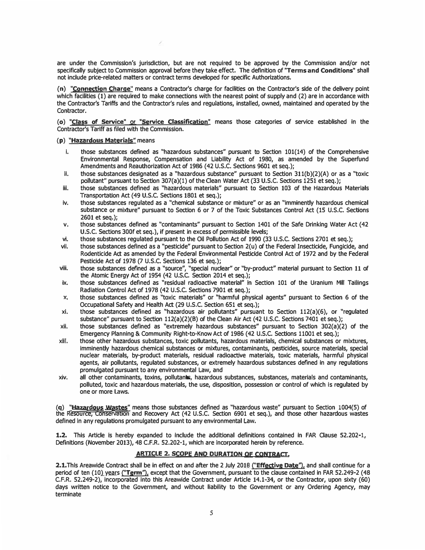**are under the Commission's jurisdiction, but are not required to be approved by the Commission and/or not**  specifically subject to Commission approval before they take effect. The definition of "Terms and Conditions" shall **not indude price-related matters or contract terms developed for specific Authorizations.** 

/

**(n) "Connection Charge" means a Contractor's charge for facflitles on the Contractor's side of the delivery point which facilities (1) are required to make connections with the nearest point of supply and (2) are fn accordance with the Contractor's Tariffs and the Contractor's rules and regulations, installed, owned, maintained and operated by the Contractor.**

**(o) "Class of Service" or "Service Classification" means those categories of service established In the Contractor's Tariff as filed wfth the Commission.**

#### **(p) "Hazardous Materials" means**

- **I. those substances defined as "hazardous substances" pursuant to Section 101(14) of the Comprehensive Environmental Response, Compensation and Liabilfty Act of 1980, as amended by the Superfund Amendments and Reauthorization Act of 1986 (42 U.S.C. Sections 9601 et seq.);**
- **II. those substances designated as a "hazardous substance" pursuant to Section 311(b)(2)(A) or as a "toxic pollutant" pursuant to Section 307(a)(l) of the Oean Water Act (33 U.S.C. Sections 1251 et seq.);**
- **fil. those substances defined as "hazardous materials" pursuant to Section 103 of the Hazardous Materials Transportation Act {49 U.S.C. Sections 1801 et seq.);**
- **Iv. those substances regulated as a "chemical substance or mixture" or as an "Imminently hazardous chemical substance or mixture" pursuant to Section 6 or 7 of the Toxic Substances Control Act (15 U.S.C. Sections 2601 et seq.);**
- **v. those substances defined as "contaminants" pursuant to Section 1401 of the Safe Drinking Water Act {42 U.S.C. Sections 300f et seq.}, if present ln excess of permissible levels;**
- **vi. those substances regulated pursuant to the Oil Pollutlon Act of 1990 {33 U.S.C. Sections 2701 et seq.);**
- **vii. those substances defined as a "pesticide" pursuant to Section 2(u) of the Federal Insecticide, Fungicide, and Rodentlcide Act as amended by the Federal Environmental Pesticide Control Act of 1972 and by the Federal Pesticide Act of 1978 {7 U.S.C. Sections 136 et seq.);**
- **viii. those substances defined as a "source", "special nuclear" or "by-product" material pursuant to Section 11 of the Atomic Energy Act of 1954 {42 U.S.C. Section 2014 et seq.);**
- ix. those substances defined as "residual radioactive material" in Section 101 of the Uranium Mill Tailings **Radiation Control Act of 1978 {42 U.S.C. Sections 7901 et seq.);**
- **x. those substances defined as "toxlc materials" or "harmful physical agents" pursuant to Section 6 of the Occupational Safety and Health Act (29 U.S.C. Section 651 et seq.);**
- **xi. those substances defined as "hazardous air pollutants" pursuant to Section 112{a){6), or "regulated substance" pursuant to Section 112(a){2){B) of the Clean Air Act {42 U.S.C. Sections 7401 et seq.);**
- **xii. those substances defined as "extremely hazardous substances" pursuant to Section 302{a){2) of the Emergency Planning & Community Right-to-Know Act of 1986 {'12 U.S.C. Sections 11001 et seq.);**
- **xifl. those other hazardous substances, toxic pollutants, hazardous materials, chemical substances or mixtures, Imminently hazardous chemical substances or mixtures, contaminants, pesticides, source materials, special nuclear materials, by-product materials, residual radioactive materials, toxic materials, harmful physical agents, air pollutants, regulated substances, or extremely hazardous substances defined In any regulations promulgated pursuant to any environmental Law, and**
- **xiv. all other contaminants, toxins, pollutants, hazardous substances, substances, materials and contaminants, polluted, toxic and hazardous materials, the use, disposition, possession or control of which Is regulated by one or more Laws.**

(<mark>q) "<u>Hazardous Wastes"</u> m</mark>eans those substances defined as "hazardous waste" pursuant to Section 1004(5) of<br>the Resource, Conservation and Recovery Act (42 U.S.C. Section 6901 et seq.), and those other hazardous wastes **defined In any regulations promulgated pursuant to any environmental Law.**

**1.2. This Article fs hereby expanded to Include the additional definitions contained In FAR Clause 52.202-1, Definitions (November 2013), 48 C.F.R. 52.202-1, which are Incorporated herein by reference.**

#### **ARTICLE 2. SCOPE AND DURATION OF CONTRACT.**

**period of ten (10) years {"Term'1, except that the Government, pursuant to the clause contained fn FAR 52.249-2 {'18 2.1.Thls Areawide Contract shall be In effect on and after the 2 July 2018 ("Effective Date'1, and shall continue for a C.F.R. 52.249-2), Incorporated Into this Areawide Contract under Article 14.1-34, or the Contractor, upon sixty {60) days written notice to the Government, and without liability to the Government or any Ordering Agency, may terminate**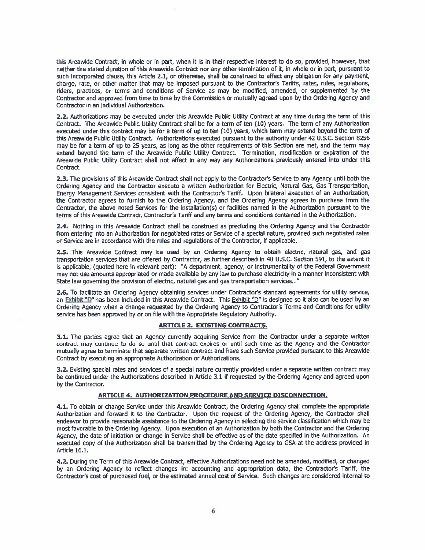this Areawide Contract, in whole or in part, when it is in their respective interest to do so, provided, however, that neither the stated duration of this Areawide Contract nor any other termination of it, in whole or in part, pursuant to such incorporated clause, this Article 2.1, or otherwise, shall be construed to affect any obligation for any payment, charge, rate, or other matter that may be imposed pursuant to the Contractor's Tariffs, rates, rules, regulations, riders, practices, or terms and conditions of Service as may be modified, amended, or supplemented by the Contractor and approved from time to time by the Commission or mutually agreed upon by the Ordering Agency and Contractor in an individual Authorization.

2.2. Authorizations may be executed under this Areawide Public Utility Contract at any time during the term of this Contract. The Areawide Public Utility Contract shall be for a term of ten (10) years. The term of any Authorization executed under this contract may be for a term of up to ten (10) years, which term may extend beyond the term of this Areawide Public Utility Contract. Authorizations executed pursuant to the authority under 42 U.S.C. Section 8256 may be for a term of up to 25 years, as long as the other requirements of this Section are met, and the term may extend beyond the term of the Areawide Public Utility Contract. Termination, modification or expiration of the Areawide Public Utility Contract shall not affect in any way any Authorizations previously entered into under this Contract.

2.3. The provisions of this Areawide Contract shall not apply to the Contractor's Service to any Agency until both the Ordering Agency and the Contractor execute a written Authorization for Electric, Natural Gas, Gas Transportation, Energy Management Services consistent with the Contractor's Tariff. Upon bilateral execution of an Authorization, the Contractor agrees to furnish to the Ordering Agency, and the Ordering Agency agrees to purchase from the Contractor, the above noted Services for the installation(s) or facilities named in the Authorization pursuant to the terms of this Areawide Contract, Contractor's Tariff and any terms and conditions contained in the Authorization.

2.4. Nothing in this Areawide Contract shall be construed as precluding the Ordering Agency and the Contractor from entering into an Authorization for negotiated rates or Service of a special nature, provided such negotiated rates or Service are in accordance with the rules and regulations of the Contractor, if applicable.

2.5. This Areawide Contract may be used by an Ordering Agency to obtain electric, natural gas, and gas transportation services that are offered by Contractor, as further described in 40 U.S.C. Section 591, to the extent it is applicable, (quoted here in relevant part): "A department, agency, or instrumentality of the Federal Government may not use amounts appropriated or made available by any law to purchase electricity in a manner inconsistent with State law governing the provision of electric, natural gas and gas transportation services..."

2.6. To facilitate an Ordering Agency obtaining services under Contractor's standard agreements for utility service, an Exhibit "D" has been included in this Areawide Contract. This Exhibit "D" is designed so it also can be used by an Ordering Agency when a change requested by the Ordering Agency to Contractor's Terms and Conditions for utility service has been approved by or on file with the Appropriate Regulatory Authority.

### **ARTICLE 3. EXISTING CONTRACTS.**

3.1. The parties agree that an Agency currently acquiring Service from the Contractor under a separate written contract may continue to do so until that contract expires or until such time as the Agency and the Contractor mutually agree to terminate that separate written contract and have such Service provided pursuant to this Areawide Contract by executing an appropriate Authorization or Authorizations.

3.2. Existing special rates and services of a special nature currently provided under a separate written contract may be continued under the Authorizations described in Article 3.1 if requested by the Ordering Agency and agreed upon by the Contractor.

#### ARTICLE 4. AUTHORIZATION PROCEDURE AND SERVICE DISCONNECTION.

4.1. To obtain or change Service under this Areawide Contract, the Ordering Agency shall complete the appropriate Authorization and forward it to the Contractor. Upon the request of the Ordering Agency, the Contractor shall endeavor to provide reasonable assistance to the Ordering Agency in selecting the service classification which may be most favorable to the Ordering Agency. Upon execution of an Authorization by both the Contractor and the Ordering Agency, the date of initiation or change in Service shall be effective as of the date specified in the Authorization. An executed copy of the Authorization shall be transmitted by the Ordering Agency to GSA at the address provided in Article 16.1.

4.2. During the Term of this Areawide Contract, effective Authorizations need not be amended, modified, or changed by an Ordering Agency to reflect changes in: accounting and appropriation data, the Contractor's Tariff, the Contractor's cost of purchased fuel, or the estimated annual cost of Service. Such changes are considered internal to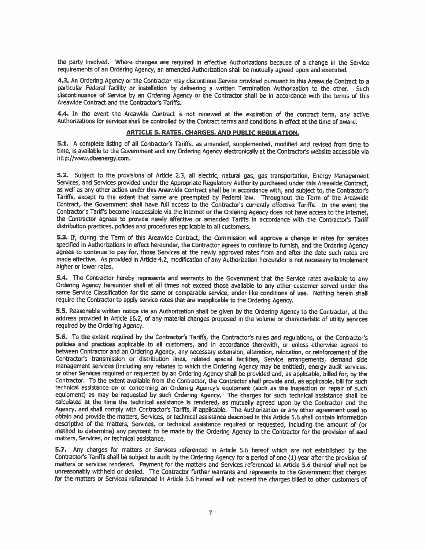the party involved. Where changes are required in effective Authorizations because of a change in the Service requirements of an Ordering Agency, an amended Authorization shall be mutually agreed upon and executed.

4.3. An Ordering Agency or the Contractor may discontinue Service provided pursuant to this Areawide Contract to a particular Federal facility or installation by delivering a written Termination Authorization to the other. Such discontinuance of Service by an Ordering Agency or the Contractor shall be in accordance with the terms of this Areawide Contract and the Contractor's Tariffs,

4.4. In the event the Areawide Contract is not renewed at the expiration of the contract term, any active Authorizations for services shall be controlled by the Contract terms and conditions in effect at the time of award.

#### **ARTICLE 5. RATES, CHARGES, AND PUBLIC REGULATION.**

5.1. A complete listing of all Contractor's Tariffs, as amended, supplemented, modified and revised from time to time, is available to the Government and any Ordering Agency electronically at the Contractor's website accessible via http://www.dteenerav.com.

5.2. Subject to the provisions of Article 2.3, all electric, natural gas, gas transportation, Energy Management Services, and Services provided under the Appropriate Regulatory Authority purchased under this Areawide Contract, as well as any other action under this Areawide Contract shall be in accordance with, and subject to, the Contractor's Tariffs, except to the extent that same are preempted by Federal law. Throughout the Term of the Areawide Contract, the Government shall have full access to the Contractor's currently effective Tariffs. In the event the Contractor's Tariffs become inaccessible via the internet or the Ordering Agency does not have access to the internet, the Contractor agrees to provide newly effective or amended Tariffs in accordance with the Contractor's Tariff distribution practices, policies and procedures applicable to all customers.

5.3. If, during the Term of this Areawide Contract, the Commission will approve a change in rates for services specified in Authorizations in effect hereunder, the Contractor agrees to continue to furnish, and the Ordering Agency agrees to continue to pay for, those Services at the newly approved rates from and after the date such rates are made effective. As provided in Article 4.2, modification of any Authorization hereunder is not necessary to implement higher or lower rates.

5.4. The Contractor hereby represents and warrants to the Government that the Service rates available to any Ordering Agency hereunder shall at all times not exceed those available to any other customer served under the same Service Classification for the same or comparable service, under like conditions of use. Nothing herein shall require the Contractor to apply service rates that are inapplicable to the Ordering Agency.

5.5. Reasonable written notice via an Authorization shall be given by the Ordering Agency to the Contractor, at the address provided in Article 16.2, of any material changes proposed in the volume or characteristic of utility services required by the Ordering Agency.

5.6. To the extent required by the Contractor's Tariffs, the Contractor's rules and requlations, or the Contractor's policies and practices applicable to all customers, and in accordance therewith, or unless otherwise agreed to between Contractor and an Ordering Agency, any necessary extension, alteration, relocation, or reinforcement of the Contractor's transmission or distribution lines, related special facilities, Service arrangements, demand side management services (including any rebates to which the Ordering Agency may be entitled), energy audit services, or other Services required or requested by an Ordering Agency shall be provided and, as applicable, billed for, by the Contractor. To the extent available from the Contractor, the Contractor shall provide and, as applicable, bill for such technical assistance on or concerning an Ordering Agency's equipment (such as the inspection or repair of such equipment) as may be requested by such Ordering Agency. The charges for such technical assistance shall be calculated at the time the technical assistance is rendered, as mutually agreed upon by the Contractor and the Agency, and shall comply with Contractor's Tariffs, if applicable. The Authorization or any other agreement used to obtain and provide the matters, Services, or technical assistance described in this Article 5.6 shall contain information descriptive of the matters, Services, or technical assistance required or requested, including the amount of (or method to determine) any payment to be made by the Ordering Agency to the Contractor for the provision of said matters, Services, or technical assistance.

5.7. Any charges for matters or Services referenced in Article 5.6 hereof which are not established by the Contractor's Tariffs shall be subject to audit by the Ordering Agency for a period of one (1) year after the provision of matters or services rendered. Payment for the matters and Services referenced in Article 5.6 thereof shall not be unreasonably withheld or denied. The Contractor further warrants and represents to the Government that charges for the matters or Services referenced in Article 5.6 hereof will not exceed the charges billed to other customers of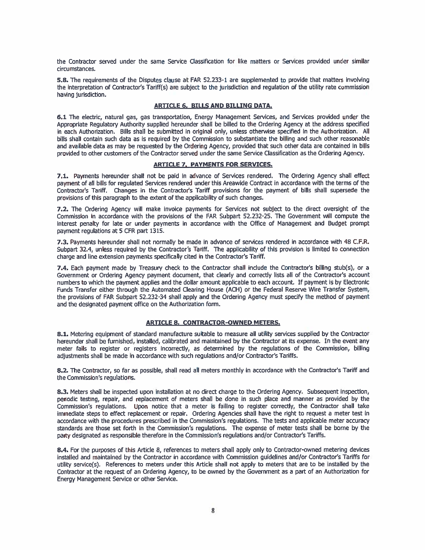the Contractor served under the same Service Classification for like matters or Services provided under similar circumstances.

5.8. The requirements of the Disputes clause at FAR 52.233-1 are supplemented to provide that matters involving the interpretation of Contractor's Tariff(s) are subject to the jurisdiction and regulation of the utility rate commission having jurisdiction.

### ARTICLE 6. BILLS AND BILLING DATA.

6.1 The electric, natural gas, gas transportation, Energy Management Services, and Services provided under the Appropriate Requlatory Authority supplied hereunder shall be billed to the Ordering Agency at the address specified in each Authorization. Bills shall be submitted in original only, unless otherwise specified in the Authorization. All bills shall contain such data as is required by the Commission to substantiate the billing and such other reasonable and available data as may be requested by the Ordering Agency, provided that such other data are contained in bills provided to other customers of the Contractor served under the same Service Classification as the Ordering Agency.

#### **ARTICLE 7. PAYMENTS FOR SERVICES.**

7.1. Payments hereunder shall not be paid in advance of Services rendered. The Ordering Agency shall effect payment of all bills for requlated Services rendered under this Areawide Contract in accordance with the terms of the Contractor's Tariff. Changes in the Contractor's Tariff provisions for the payment of bills shall supersede the provisions of this paragraph to the extent of the applicability of such changes.

7.2. The Ordering Agency will make invoice payments for Services not subject to the direct oversight of the Commission in accordance with the provisions of the FAR Subpart 52.232-25. The Government will compute the interest penalty for late or under payments in accordance with the Office of Management and Budget prompt payment regulations at 5 CFR part 1315.

7.3. Payments hereunder shall not normally be made in advance of services rendered in accordance with 48 C.F.R. Subpart 32.4, unless required by the Contractor's Tariff. The applicability of this provision is limited to connection charge and line extension payments specifically cited in the Contractor's Tariff.

7.4. Each payment made by Treasury check to the Contractor shall include the Contractor's billing stub(s), or a Government or Ordering Agency payment document, that clearly and correctly lists all of the Contractor's account numbers to which the payment applies and the dollar amount applicable to each account. If payment is by Electronic Funds Transfer either through the Automated Clearing House (ACH) or the Federal Reserve Wire Transfer System, the provisions of FAR Subpart 52.232-34 shall apply and the Ordering Agency must specify the method of payment and the designated payment office on the Authorization form.

#### **ARTICLE 8. CONTRACTOR-OWNED METERS.**

8.1. Metering equipment of standard manufacture suitable to measure all utility services supplied by the Contractor hereunder shall be furnished, installed, calibrated and maintained by the Contractor at its expense. In the event any meter fails to register or registers incorrectly, as determined by the regulations of the Commission, billing adjustments shall be made in accordance with such regulations and/or Contractor's Tariffs.

8.2. The Contractor, so far as possible, shall read all meters monthly in accordance with the Contractor's Tariff and the Commission's regulations.

8.3. Meters shall be inspected upon installation at no direct charge to the Ordering Agency. Subsequent inspection, periodic testing, repair, and replacement of meters shall be done in such place and manner as provided by the Commission's requlations. Upon notice that a meter is failing to register correctly, the Contractor shall take immediate steps to effect replacement or repair. Ordering Agencies shall have the right to request a meter test in accordance with the procedures prescribed in the Commission's regulations. The tests and applicable meter accuracy standards are those set forth in the Commission's regulations. The expense of meter tests shall be borne by the party designated as responsible therefore in the Commission's regulations and/or Contractor's Tariffs.

8.4. For the purposes of this Article 8, references to meters shall apply only to Contractor-owned metering devices installed and maintained by the Contractor in accordance with Commission guidelines and/or Contractor's Tariffs for utility service(s). References to meters under this Article shall not apply to meters that are to be installed by the Contractor at the request of an Ordering Agency, to be owned by the Government as a part of an Authorization for Energy Management Service or other Service.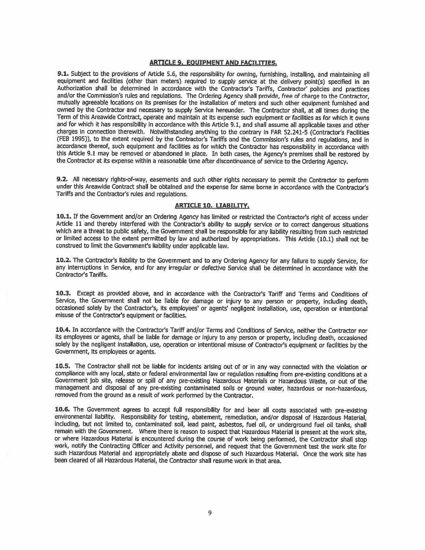#### **ARTICLE 9. EOUIPMENT AND FACILITIES.**

9.1. Subject to the provisions of Article 5.6, the responsibility for owning, furnishing, installing, and maintaining all equipment and facilities (other than meters) required to supply service at the delivery point(s) specified in an Authorization shall be determined in accordance with the Contractor's Tariffs, Contractor' policies and practices and/or the Commission's rules and regulations. The Ordering Agency shall provide, free of charge to the Contractor, mutually agreeable locations on its premises for the installation of meters and such other equipment furnished and owned by the Contractor and necessary to supply Service hereunder. The Contractor shall, at all times during the Term of this Areawide Contract, operate and maintain at its expense such equipment or facilities as for which it owns and for which it has responsibility in accordance with this Article 9.1, and shall assume all applicable taxes and other charges in connection therewith. Notwithstanding anything to the contrary in FAR 52.241-5 (Contractor's Facilities (FEB 1995)), to the extent required by the Contractor's Tariffs and the Commission's rules and regulations, and in accordance thereof, such equipment and facilities as for which the Contractor has responsibility in accordance with this Article 9.1 may be removed or abandoned in place. In both cases, the Agency's premises shall be restored by the Contractor at its expense within a reasonable time after discontinuance of service to the Ordering Agency.

9.2. All necessary rights-of-way, easements and such other rights necessary to permit the Contractor to perform under this Areawide Contract shall be obtained and the expense for same borne in accordance with the Contractor's Tariffs and the Contractor's rules and regulations.

#### **ARTICLE 10. LIABILITY.**

10.1. If the Government and/or an Ordering Agency has limited or restricted the Contractor's right of access under Article 11 and thereby interfered with the Contractor's ability to supply service or to correct dangerous situations which are a threat to public safety, the Government shall be responsible for any liability resulting from such restricted or limited access to the extent permitted by law and authorized by appropriations. This Article (10.1) shall not be construed to limit the Government's liability under applicable law.

10.2. The Contractor's liability to the Government and to any Ordering Agency for any failure to supply Service, for any interruptions in Service, and for any irregular or defective Service shall be determined in accordance with the **Contractor's Tariffs.** 

10.3. Except as provided above, and in accordance with the Contractor's Tariff and Terms and Conditions of Service, the Government shall not be liable for damage or injury to any person or property, including death, occasioned solely by the Contractor's, its employees' or agents' negligent installation, use, operation or intentional misuse of the Contractor's equipment or facilities.

10.4. In accordance with the Contractor's Tariff and/or Terms and Conditions of Service, neither the Contractor nor its employees or agents, shall be liable for damage or injury to any person or property, including death, occasioned solely by the negligent installation, use, operation or intentional misuse of Contractor's equipment or facilities by the Government, its employees or agents.

10.5. The Contractor shall not be liable for incidents arising out of or in any way connected with the violation or compliance with any local, state or federal environmental law or regulation resulting from pre-existing conditions at a Government job site, release or spill of any pre-existing Hazardous Materials or Hazardous Waste, or out of the management and disposal of any pre-existing contaminated soils or ground water, hazardous or non-hazardous, removed from the ground as a result of work performed by the Contractor.

10.6. The Government agrees to accept full responsibility for and bear all costs associated with pre-existing environmental liability. Responsibility for testing, abatement, remediation, and/or disposal of Hazardous Material, including, but not limited to, contaminated soil, lead paint, asbestos, fuel oil, or underground fuel oil tanks, shall remain with the Government. Where there is reason to suspect that Hazardous Material is present at the work site, or where Hazardous Material is encountered during the course of work being performed, the Contractor shall stop work, notify the Contracting Officer and Activity personnel, and request that the Government test the work site for such Hazardous Material and appropriately abate and dispose of such Hazardous Material. Once the work site has been cleared of all Hazardous Material, the Contractor shall resume work in that area.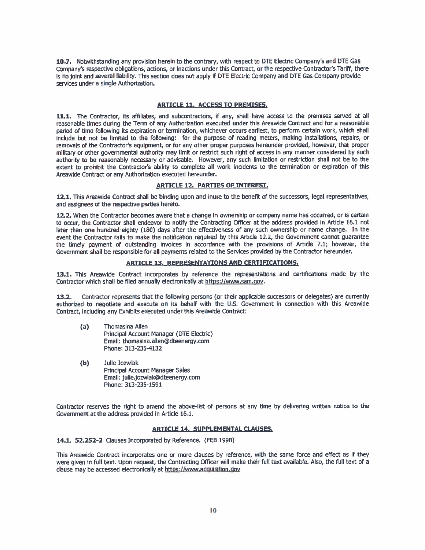10.7. Notwithstanding any provision herein to the contrary, with respect to DTE Electric Company's and DTE Gas Company's respective obligations, actions, or inactions under this Contract, or the respective Contractor's Tariff, there is no joint and several liability. This section does not apply if DTE Electric Company and DTE Gas Company provide services under a single Authorization.

#### **ARTICLE 11. ACCESS TO PREMISES.**

11.1. The Contractor, its affiliates, and subcontractors, if any, shall have access to the premises served at all reasonable times during the Term of any Authorization executed under this Areawide Contract and for a reasonable period of time following its expiration or termination, whichever occurs earliest, to perform certain work, which shall include but not be limited to the following: for the purpose of reading meters, making installations, repairs, or removals of the Contractor's equipment, or for any other proper purposes hereunder provided, however, that proper military or other governmental authority may limit or restrict such right of access in any manner considered by such authority to be reasonably necessary or advisable. However, any such limitation or restriction shall not be to the extent to prohibit the Contractor's ability to complete all work incidents to the termination or expiration of this Areawide Contract or any Authorization executed hereunder.

#### **ARTICLE 12. PARTIES OF INTEREST.**

12.1. This Areawide Contract shall be binding upon and inure to the benefit of the successors, legal representatives, and assignees of the respective parties hereto.

12.2. When the Contractor becomes aware that a change in ownership or company name has occurred, or is certain to occur, the Contractor shall endeavor to notify the Contracting Officer at the address provided in Article 16,1 not later than one hundred-eighty (180) days after the effectiveness of any such ownership or name change. In the event the Contractor fails to make the notification required by this Article 12.2, the Government cannot guarantee the timely payment of outstanding invoices in accordance with the provisions of Article 7.1; however, the Government shall be responsible for all payments related to the Services provided by the Contractor hereunder.

#### **ARTICLE 13. REPRESENTATIONS AND CERTIFICATIONS.**

13.1. This Areawide Contract incorporates by reference the representations and certifications made by the Contractor which shall be filed annually electronically at https://www.sam.gov.

 $13.2.$ Contractor represents that the following persons (or their applicable successors or delegates) are currently authorized to negotiate and execute on its behalf with the U.S. Government in connection with this Areawide Contract, including any Exhibits executed under this Areawide Contract:

- Thomasina Allen  $(a)$ Principal Account Manager (DTE Electric) Email: thomasina.allen@dteenergy.com Phone: 313-235-4132
- $(b)$ Julie Jozwiak Principal Account Manager Sales Email: julie.jozwiak@dteenergy.com Phone: 313-235-1591

Contractor reserves the right to amend the above-list of persons at any time by delivering written notice to the Government at the address provided in Article 16.1.

#### **ARTICLE 14, SUPPLEMENTAL CLAUSES,**

14.1, 52.252-2 Clauses Incorporated by Reference. (FEB 1998)

This Areawide Contract incorporates one or more clauses by reference, with the same force and effect as if they were given in full text. Upon request, the Contracting Officer will make their full text available. Also, the full text of a clause may be accessed electronically at https://www.acquisition.gov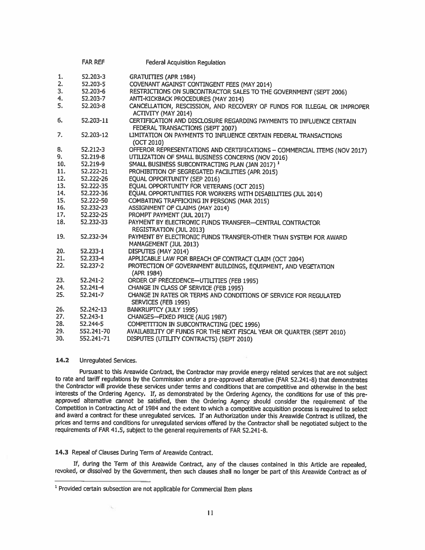|     | <b>FAR REF</b> | Federal Acquisition Regulation                                                                           |
|-----|----------------|----------------------------------------------------------------------------------------------------------|
| 1.  | 52.203-3       | <b>GRATUITTES (APR 1984)</b>                                                                             |
| 2.  | 52.203-5       | COVENANT AGAINST CONTINGENT FEES (MAY 2014)                                                              |
| 3.  | 52.203-6       | RESTRICTIONS ON SUBCONTRACTOR SALES TO THE GOVERNMENT (SEPT 2006)                                        |
| 4.  | 52,203-7       | ANTI-KICKBACK PROCEDURES (MAY 2014)                                                                      |
| 5.  | 52.203-8       | CANCELLATION, RESCISSION, AND RECOVERY OF FUNDS FOR ILLEGAL OR IMPROPER                                  |
|     |                | <b>ACTIVITY (MAY 2014)</b>                                                                               |
| 6.  | 52.203-11      | CERTIFICATION AND DISCLOSURE REGARDING PAYMENTS TO INFLUENCE CERTAIN<br>FEDERAL TRANSACTIONS (SEPT 2007) |
| 7.  | 52.203-12      | LIMITATION ON PAYMENTS TO INFLUENCE CERTAIN FEDERAL TRANSACTIONS                                         |
|     |                | (0CT 2010)                                                                                               |
| 8.  | $52.212 - 3$   | OFFEROR REPRESENTATIONS AND CERTIFICATIONS - COMMERCIAL ITEMS (NOV 2017)                                 |
| 9.  | $52.219 - 8$   | UTILIZATION OF SMALL BUSINESS CONCERNS (NOV 2016)                                                        |
| 10. | 52.219-9       | SMALL BUSINESS SUBCONTRACTING PLAN (JAN 2017) <sup>1</sup>                                               |
| 11. | 52.222-21      | PROHIBITION OF SEGREGATED FACILITIES (APR 2015)                                                          |
| 12. | 52.222-26      | EQUAL OPPORTUNITY (SEP 2016)                                                                             |
| 13. | 52.222-35      | EQUAL OPPORTUNITY FOR VETERANS (OCT 2015)                                                                |
| 14. | 52.222-36      | EQUAL OPPORTUNITIES FOR WORKERS WITH DISABILITIES (JUL 2014)                                             |
| 15. | 52.222-50      | COMBATING TRAFFICKING IN PERSONS (MAR 2015)                                                              |
| 16. | 52.232-23      | <b>ASSIGNMENT OF CLAIMS (MAY 2014)</b>                                                                   |
| 17. | 52.232-25      | PROMPT PAYMENT (JUL 2017)                                                                                |
| 18. | 52.232-33      | PAYMENT BY ELECTRONIC FUNDS TRANSFER-CENTRAL CONTRACTOR<br><b>REGISTRATION (JUL 2013)</b>                |
| 19. | 52.232-34      | PAYMENT BY ELECTRONIC FUNDS TRANSFER-OTHER THAN SYSTEM FOR AWARD                                         |
|     |                | MANAGEMENT (JUL 2013)                                                                                    |
| 20. | 52,233-1       | DISPUTES (MAY 2014)                                                                                      |
| 21. | 52.233-4       | APPLICABLE LAW FOR BREACH OF CONTRACT CLAIM (OCT 2004)                                                   |
| 22. | 52.237-2       | PROTECTION OF GOVERNMENT BUILDINGS, EQUIPMENT, AND VEGETATION<br>(APR 1984)                              |
| 23. | 52.241-2       | ORDER OF PRECEDENCE-UTILITIES (FEB 1995)                                                                 |
| 24. | $52,241-4$     | CHANGE IN CLASS OF SERVICE (FEB 1995)                                                                    |
| 25. | $52.241 - 7$   | CHANGE IN RATES OR TERMS AND CONDITIONS OF SERVICE FOR REGULATED                                         |
|     |                | SERVICES (FEB 1995)                                                                                      |
| 26. | 52.242-13      | <b>BANKRUPTCY (JULY 1995)</b>                                                                            |
| 27. | $52.243 - 1$   | CHANGES-FIXED PRICE (AUG 1987)                                                                           |
| 28. | 52.244-5       | COMPETITION IN SUBCONTRACTING (DEC 1996)                                                                 |
| 29. | 552.241-70     | AVAILABILITY OF FUNDS FOR THE NEXT FISCAL YEAR OR QUARTER (SEPT 2010)                                    |
| 30. | 552.241-71     | DISPUTES (UTILITY CONTRACTS) (SEPT 2010)                                                                 |

#### $14.2$ Unregulated Services.

Pursuant to this Areawide Contract, the Contractor may provide energy related services that are not subject to rate and tariff regulations by the Commission under a pre-approved alternative (FAR 52.241-8) that demonstrates the Contractor will provide these services under terms and conditions that are competitive and otherwise in the best interests of the Ordering Agency. If, as demonstrated by the Ordering Agency, the conditions for use of this preapproved alternative cannot be satisfied, then the Ordering Agency should consider the requirement of the Competition in Contracting Act of 1984 and the extent to which a competitive acquisition process is required to select and award a contract for these unregulated services. If an Authorization under this Areawide Contract is utilized, the prices and terms and conditions for unregulated services offered by the Contractor shall be negotiated subject to the requirements of FAR 41.5, subject to the general requirements of FAR 52.241-8.

### 14.3 Repeal of Clauses During Term of Areawide Contract.

ù.

If, during the Term of this Areawide Contract, any of the clauses contained in this Article are repealed, revoked, or dissolved by the Government, then such clauses shall no longer be part of this Areawide Contract as of

<sup>&</sup>lt;sup>1</sup> Provided certain subsection are not applicable for Commercial Item plans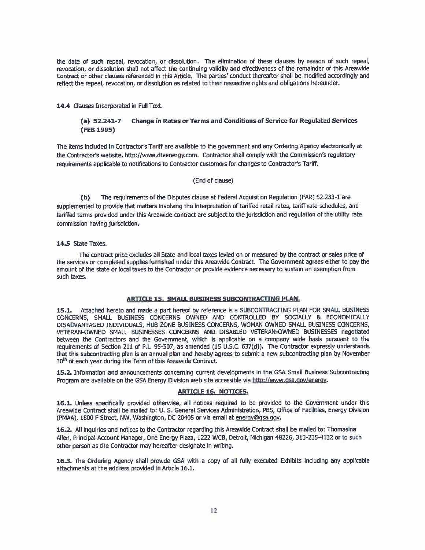the date of such repeal, revocation, or dissolution. The elimination of these clauses by reason of such repeal, revocation, or dissolution shall not affect the continuing validity and effectiveness of the remainder of this Areawide Contract or other clauses referenced in this Article. The parties' conduct thereafter shall be modified accordingly and reflect the repeal, revocation, or dissolution as related to their respective rights and obligations hereunder.

14.4 Clauses Incorporated in Full Text.

#### **Change in Rates or Terms and Conditions of Service for Regulated Services**  $(a) 52.241 - 7$ (FEB 1995)

The items included in Contractor's Tariff are available to the government and any Ordering Agency electronically at the Contractor's website, http://www.dteenergy.com. Contractor shall comply with the Commission's regulatory requirements applicable to notifications to Contractor customers for changes to Contractor's Tariff.

#### (End of clause)

 $(b)$ The requirements of the Disputes clause at Federal Acquisition Regulation (FAR) 52.233-1 are supplemented to provide that matters involving the interpretation of tariffed retail rates, tariff rate schedules, and tariffed terms provided under this Areawide contract are subject to the jurisdiction and regulation of the utility rate commission having jurisdiction.

#### 14.5 State Taxes.

The contract price excludes all State and local taxes levied on or measured by the contract or sales price of the services or completed supplies furnished under this Areawide Contract. The Government agrees either to pay the amount of the state or local taxes to the Contractor or provide evidence necessary to sustain an exemption from such taxes.

#### **ARTICLE 15. SMALL BUSINESS SUBCONTRACTING PLAN.**

15.1. Attached hereto and made a part hereof by reference is a SUBCONTRACTING PLAN FOR SMALL BUSINESS CONCERNS, SMALL BUSINESS CONCERNS OWNED AND CONTROLLED BY SOCIALLY & ECONOMICALLY DISADVANTAGED INDIVIDUALS, HUB ZONE BUSINESS CONCERNS, WOMAN OWNED SMALL BUSINESS CONCERNS, VETERAN-OWNED SMALL BUSINESSES CONCERNS AND DISABLED VETERAN-OWNED BUSINESSES negotiated between the Contractors and the Government, which is applicable on a company wide basis pursuant to the requirements of Section 211 of P.L. 95-507, as amended (15 U.S.C. 637(d)). The Contractor expressly understands that this subcontracting plan is an annual plan and hereby agrees to submit a new subcontracting plan by November 30<sup>th</sup> of each year during the Term of this Areawide Contract.

15.2. Information and announcements concerning current developments in the GSA Small Business Subcontracting Program are available on the GSA Energy Division web site accessible via http://www.gsa.gov/energy.

#### **ARTICLE 16. NOTICES.**

16.1. Unless specifically provided otherwise, all notices required to be provided to the Government under this Areawide Contract shall be mailed to: U. S. General Services Administration, PBS, Office of Facilities, Energy Division (PMAA), 1800 F Street, NW, Washington, DC 20405 or via email at energy@gsa.gov.

16.2. All inquiries and notices to the Contractor regarding this Areawide Contract shall be mailed to: Thomasina Allen, Principal Account Manager, One Energy Plaza, 1222 WCB, Detroit, Michigan 48226, 313-235-4132 or to such other person as the Contractor may hereafter designate in writing.

16.3. The Ordering Agency shall provide GSA with a copy of all fully executed Exhibits including any applicable attachments at the address provided in Article 16.1.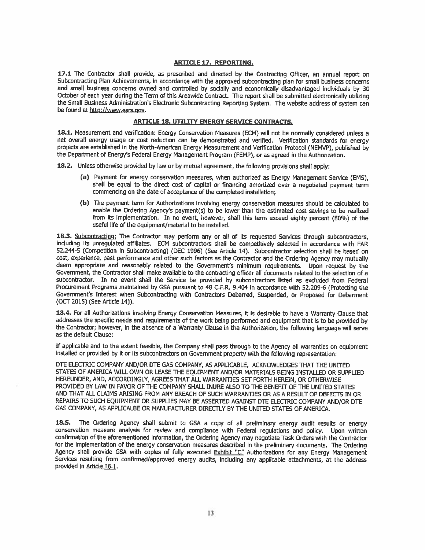#### **ARTICLE 17. REPORTING.**

17.1 The Contractor shall provide, as prescribed and directed by the Contracting Officer, an annual report on Subcontracting Plan Achievements, in accordance with the approved subcontracting plan for small business concerns and small business concerns owned and controlled by socially and economically disadvantaged individuals by 30 October of each year during the Term of this Areawide Contract. The report shall be submitted electronically utilizing the Small Business Administration's Electronic Subcontracting Reporting System. The website address of system can be found at http://www.esrs.gov.

#### **ARTICLE 18, UTILITY ENERGY SERVICE CONTRACTS.**

18.1. Measurement and verification: Energy Conservation Measures (ECM) will not be normally considered unless a net overall energy usage or cost reduction can be demonstrated and verified. Verification standards for energy projects are established in the North-American Energy Measurement and Verification Protocol (NEMVP), published by the Department of Energy's Federal Energy Management Program (FEMP), or as agreed in the Authorization.

18.2. Unless otherwise provided by law or by mutual agreement, the following provisions shall apply:

- (a) Payment for energy conservation measures, when authorized as Energy Management Service (EMS), shall be equal to the direct cost of capital or financing amortized over a negotiated payment term commencing on the date of acceptance of the completed installation;
- (b) The payment term for Authorizations involving energy conservation measures should be calculated to enable the Ordering Agency's payment(s) to be lower than the estimated cost savings to be realized from its implementation. In no event, however, shall this term exceed eighty percent (80%) of the useful life of the equipment/material to be installed.

18.3. Subcontracting: The Contractor may perform any or all of its requested Services through subcontractors. including its unregulated affiliates. ECM subcontractors shall be competitively selected in accordance with FAR 52.244-5 (Competition in Subcontracting) (DEC 1996) (See Article 14). Subcontractor selection shall be based on cost, experience, past performance and other such factors as the Contractor and the Ordering Agency may mutually deem appropriate and reasonably related to the Government's minimum requirements. Upon request by the Government, the Contractor shall make available to the contracting officer all documents related to the selection of a subcontractor. In no event shall the Service be provided by subcontractors listed as excluded from Federal Procurement Programs maintained by GSA pursuant to 48 C.F.R. 9.404 in accordance with 52.209-6 (Protecting the Government's Interest when Subcontracting with Contractors Debarred, Suspended, or Proposed for Debarment (OCT 2015) (See Article 14)).

18.4. For all Authorizations involving Energy Conservation Measures, it is desirable to have a Warranty Clause that addresses the specific needs and requirements of the work being performed and equipment that is to be provided by the Contractor; however, in the absence of a Warranty Clause in the Authorization, the following language will serve as the default Clause:

If applicable and to the extent feasible, the Company shall pass through to the Agency all warranties on equipment installed or provided by it or its subcontractors on Government property with the following representation;

DTE ELECTRIC COMPANY AND/OR DTE GAS COMPANY, AS APPLICABLE. ACKNOWLEDGES THAT THE UNITED STATES OF AMERICA WILL OWN OR LEASE THE EQUIPMENT AND/OR MATERIALS BEING INSTALLED OR SUPPLIED HEREUNDER, AND, ACCORDINGLY, AGREES THAT ALL WARRANTIES SET FORTH HEREIN, OR OTHERWISE PROVIDED BY LAW IN FAVOR OF THE COMPANY SHALL INURE ALSO TO THE BENEFIT OF THE UNITED STATES AND THAT ALL CLAIMS ARISING FROM ANY BREACH OF SUCH WARRANTIES OR AS A RESULT OF DEFECTS IN OR REPAIRS TO SUCH EQUIPMENT OR SUPPLIES MAY BE ASSERTED AGAINST DTE ELECTRIC COMPANY AND/OR DTE GAS COMPANY, AS APPLICALBE OR MANUFACTURER DIRECTLY BY THE UNITED STATES OF AMERICA.

The Ordering Agency shall submit to GSA a copy of all preliminary energy audit results or energy 18.5. conservation measure analysis for review and compliance with Federal regulations and policy. Upon written confirmation of the aforementioned information, the Ordering Agency may negotiate Task Orders with the Contractor for the implementation of the energy conservation measures described in the preliminary documents. The Ordering Agency shall provide GSA with copies of fully executed Exhibit "C" Authorizations for any Energy Management Services resulting from confirmed/approved energy audits, including any applicable attachments, at the address provided in Article 16.1.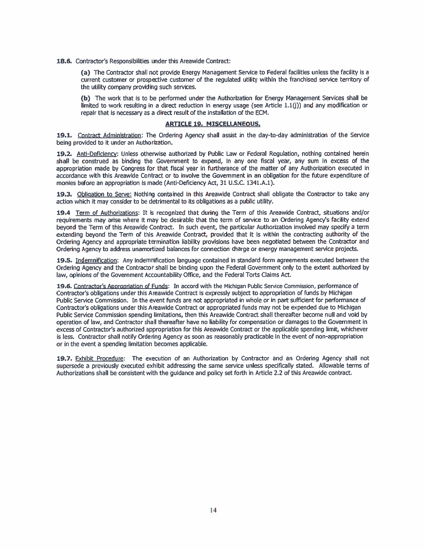18.6. Contractor's Responsibilities under this Areawide Contract:

(a) The Contractor shall not provide Energy Management Service to Federal facilities unless the facility is a current customer or prospective customer of the regulated utility within the franchised service territory of the utility company providing such services.

(b) The work that is to be performed under the Authorization for Energy Management Services shall be limited to work resulting in a direct reduction in energy usage (see Article  $1.1(j)$ ) and any modification or repair that is necessary as a direct result of the installation of the ECM.

#### **ARTICLE 19, MISCELLANEOUS.**

19.1. Contract Administration: The Ordering Agency shall assist in the day-to-day administration of the Service being provided to it under an Authorization.

19.2. Anti-Deficiency: Unless otherwise authorized by Public Law or Federal Regulation, nothing contained herein shall be construed as binding the Government to expend, in any one fiscal year, any sum in excess of the appropriation made by Congress for that fiscal year in furtherance of the matter of any Authorization executed in accordance with this Areawide Contract or to involve the Government in an obligation for the future expenditure of monies before an appropriation is made (Anti-Deficiency Act, 31 U.S.C. 1341.A.1).

19.3. Obligation to Serve: Nothing contained in this Areawide Contract shall obligate the Contractor to take any action which it may consider to be detrimental to its obligations as a public utility.

19.4 Term of Authorizations: It is recognized that during the Term of this Areawide Contract, situations and/or requirements may arise where it may be desirable that the term of service to an Ordering Agency's facility extend beyond the Term of this Areawide Contract. In such event, the particular Authorization involved may specify a term extending beyond the Term of this Areawide Contract, provided that it is within the contracting authority of the Ordering Agency and appropriate termination liability provisions have been negotiated between the Contractor and Ordering Agency to address unamortized balances for connection charge or energy management service projects.

19.5. Indemnification: Any indemnification language contained in standard form agreements executed between the Ordering Agency and the Contractor shall be binding upon the Federal Government only to the extent authorized by law, opinions of the Government Accountability Office, and the Federal Torts Claims Act.

19.6. Contractor's Appropriation of Funds: In accord with the Michigan Public Service Commission, performance of Contractor's obligations under this Areawide Contract is expressly subject to appropriation of funds by Michigan Public Service Commission. In the event funds are not appropriated in whole or in part sufficient for performance of Contractor's obligations under this Areawide Contract or appropriated funds may not be expended due to Michigan Public Service Commission spending limitations, then this Areawide Contract shall thereafter become null and void by operation of law, and Contractor shall thereafter have no liability for compensation or damages to the Government in excess of Contractor's authorized appropriation for this Areawide Contract or the applicable spending limit, whichever is less. Contractor shall notify Ordering Agency as soon as reasonably practicable in the event of non-appropriation or in the event a spending limitation becomes applicable.

19.7. Exhibit Procedure: The execution of an Authorization by Contractor and an Ordering Agency shall not supersede a previously executed exhibit addressing the same service unless specifically stated. Allowable terms of Authorizations shall be consistent with the guidance and policy set forth in Article 2.2 of this Areawide contract.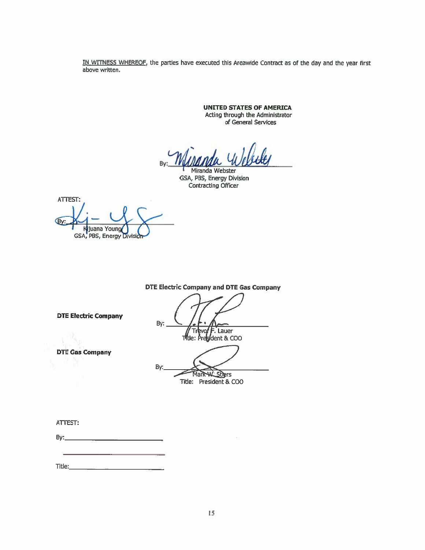IN WITNESS WHEREOF, the parties have executed this Areawide Contract as of the day and the year first above written.

> **UNITED STATES OF AMERICA** Acting through the Administrator of General Services

Miranda Webster GSA, PBS, Energy Division Contracting Officer

ATTEST: By: Kijuana Young GSA, PBS, Energy Division

**DTE Electric Company and DTE Gas Company** 

**DTE Electric Company** 

**DTE Gas Company** 

By: **F. Lauer** ∾o∮ The: President & COO

By: Mark W. Stiers

Title: President & COO

ATTEST: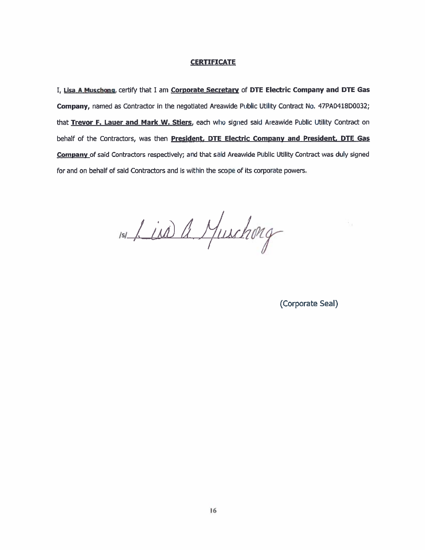## **CERTIFICATE**

I, Lisa A Muschong, certify that I am Corporate Secretary of DTE Electric Company and DTE Gas Company, named as Contractor in the negotiated Areawide Public Utility Contract No. 47PA0418D0032; that Trevor F. Lauer and Mark W. Stiers, each who signed said Areawide Public Utility Contract on behalf of the Contractors, was then President, DTE Electric Company and President, DTE Gas Company of said Contractors respectively; and that said Areawide Public Utility Contract was duly signed for and on behalf of said Contractors and is within the scope of its corporate powers.

151 Lind a Muschong

(Corporate Seal)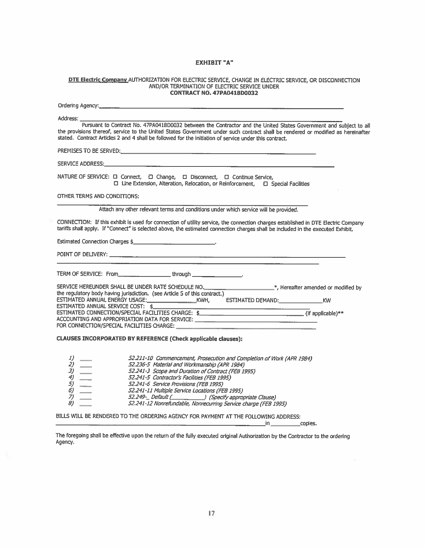### **EXHIBIT "A"**

# DTE Electric Company AUTHORIZATION FOR ELECTRIC SERVICE, CHANGE IN ELECTRIC SERVICE, OR DISCONNECTION AND/OR TERMINATION OF ELECTRIC SERVICE UNDER CONTRACT NO. 47PA0418D0032

| Address: <b>Address</b><br>Pursuant to Contract No. 47PA0418D0032 between the Contractor and the United States Government and subject to all<br>the provisions thereof, service to the United States Government under such contract shall be rendered or modified as hereinafter<br>stated. Contract Articles 2 and 4 shall be followed for the initiation of service under this contract.                                                   |  |  |
|----------------------------------------------------------------------------------------------------------------------------------------------------------------------------------------------------------------------------------------------------------------------------------------------------------------------------------------------------------------------------------------------------------------------------------------------|--|--|
|                                                                                                                                                                                                                                                                                                                                                                                                                                              |  |  |
|                                                                                                                                                                                                                                                                                                                                                                                                                                              |  |  |
| NATURE OF SERVICE: □ Connect, □ Change, □ Disconnect, □ Continue Service,<br>$\Box$ Line Extension, Alteration, Relocation, or Reinforcement, $\Box$ Special Facilities                                                                                                                                                                                                                                                                      |  |  |
| OTHER TERMS AND CONDITIONS:                                                                                                                                                                                                                                                                                                                                                                                                                  |  |  |
| Attach any other relevant terms and conditions under which service will be provided.                                                                                                                                                                                                                                                                                                                                                         |  |  |
| CONNECTION: If this exhibit is used for connection of utility service, the connection charges established in DTE Electric Company<br>tariffs shall apply. If "Connect" is selected above, the estimated connection charges shall be included in the executed Exhibit.                                                                                                                                                                        |  |  |
| Estimated Connection Charges \$                                                                                                                                                                                                                                                                                                                                                                                                              |  |  |
|                                                                                                                                                                                                                                                                                                                                                                                                                                              |  |  |
| TERM OF SERVICE: From_______________________through _______________.                                                                                                                                                                                                                                                                                                                                                                         |  |  |
| SERVICE HEREUNDER SHALL BE UNDER RATE SCHEDULE NO. _______________________________*, Hereafter amended or modified by the regulatory body having jurisdiction. (see Article 5 of this contract.)                                                                                                                                                                                                                                             |  |  |
| ESTIMATED ANNUAL SERVICE COST: \$                                                                                                                                                                                                                                                                                                                                                                                                            |  |  |
| ACCOUNTING AND APPROPRIATION DATA FOR SERVICE: __________________________________                                                                                                                                                                                                                                                                                                                                                            |  |  |
|                                                                                                                                                                                                                                                                                                                                                                                                                                              |  |  |
| CLAUSES INCORPORATED BY REFERENCE (Check applicable clauses):                                                                                                                                                                                                                                                                                                                                                                                |  |  |
| 52.211-10 Commencement, Prosecution and Completion of Work (APR 1984)<br>52.236-5 Material and Workmanship (APR 1984)<br>52.241-3 Scope and Duration of Contract (FEB 1995)<br>52.241-5 Contractor's Facilities (FEB 1995)<br>52.241-6 Service Provisions (FEB 1995)<br>52.241-11 Multiple Service Locations (FEB 1995)<br>52.249- Default ( [Specify appropriate Clause)<br>52.241-12 Nonrefundable, Nonrecurring Service charge (FEB 1995) |  |  |

BILLS WILL BE RENDERED TO THE ORDERING AGENCY FOR PAYMENT AT THE FOLLOWING ADDRESS:

 $\_$ in $\_$ copies.

The foregoing shall be effective upon the return of the fully executed original Authorization by the Contractor to the ordering Agency.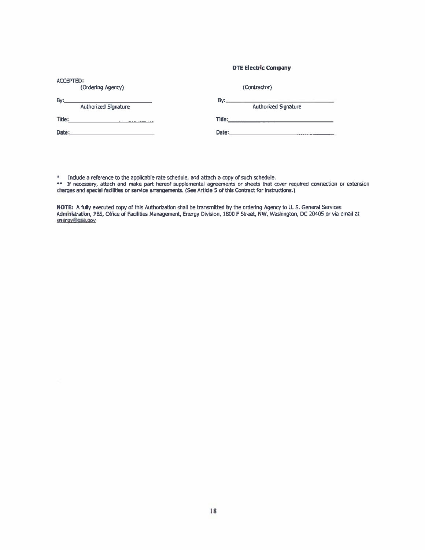#### **DTE Electric Company**

| ACCEPTED:<br>(Ordering Agency)                             | (Contractor)                                                                    |
|------------------------------------------------------------|---------------------------------------------------------------------------------|
| By:<br>Authorized Signature                                | By:<br><u> 1989 - John Amerikaansk politik (</u><br><b>Authorized Signature</b> |
| Title:<br>the company of the company of the company of the | Title:<br><u> 1989 - John Stone, Amerikaansk politiker (</u>                    |
| Date:                                                      | Date:                                                                           |

\* Include a reference to the applicable rate schedule, and attach a copy of such schedule.<br>\*\* If necessary, attach and make part hereof supplemental agreements or sheets that cover required connection or extension<br>charges

NOTE: A fully executed copy of this Authorization shall be transmitted by the ordering Agency to U. S. General Services Administration, PBS, Office of Facilities Management, Energy Division, 1800 F Street, NW, Washington, DC 20405 or via email at energy@gsa.gov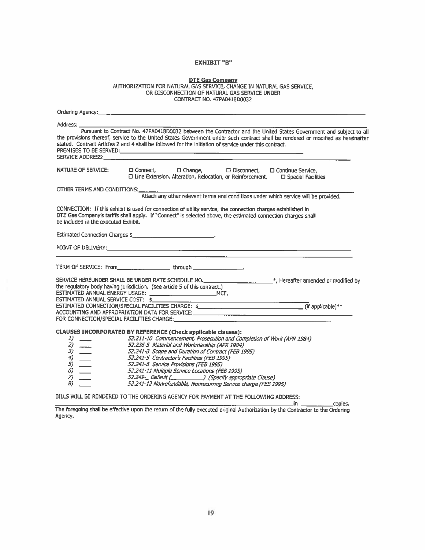# **EXHIBIT "B"**

| <b>DTE Gas Company</b>                                                |  |  |
|-----------------------------------------------------------------------|--|--|
| AUTHORIZATION FOR NATURAL GAS SERVICE, CHANGE IN NATURAL GAS SERVICE, |  |  |
| OR DISCONNECTION OF NATURAL GAS SERVICE UNDER                         |  |  |
| CONTRACT NO. 47PA0418D0032                                            |  |  |

| Address: ___________                                                                                                                                                                                                                                                                                                                                                                       |
|--------------------------------------------------------------------------------------------------------------------------------------------------------------------------------------------------------------------------------------------------------------------------------------------------------------------------------------------------------------------------------------------|
| Pursuant to Contract No. 47PA0418D0032 between the Contractor and the United States Government and subject to all<br>the provisions thereof, service to the United States Government under such contract shall be rendered or modified as hereinafter<br>stated. Contract Articles 2 and 4 shall be followed for the initiation of service under this contract.<br><b>SERVICE ADDRESS:</b> |
| NATURE OF SERVICE:<br>□ Connect, □ Change, □ Disconnect, □ Continue Service,<br>$\square$ Line Extension, Alteration, Relocation, or Reinforcement, $\square$ Special Facilities                                                                                                                                                                                                           |
| OTHER TERMS AND CONDITIONS: University of the UTHER TERMS AND CONDITIONS:<br>Attach any other relevant terms and conditions under which service will be provided.                                                                                                                                                                                                                          |
| CONNECTION: If this exhibit is used for connection of utility service, the connection charges established in<br>DTE Gas Company's tariffs shall apply. If "Connect" is selected above, the estimated connection charges shall<br>be included in the executed Exhibit.                                                                                                                      |
| Estimated Connection Charges \$                                                                                                                                                                                                                                                                                                                                                            |
|                                                                                                                                                                                                                                                                                                                                                                                            |
|                                                                                                                                                                                                                                                                                                                                                                                            |
| SERVICE HEREUNDER SHALL BE UNDER RATE SCHEDULE NO. ______________________*, Hereafter amended or modified by<br>the regulatory body having jurisdiction. (see article 5 of this contract.)<br>ESTIMATED ANNUAL SERVICE COST: \$                                                                                                                                                            |
|                                                                                                                                                                                                                                                                                                                                                                                            |

The foregoing shall be effective upon the return of the fully executed original Authorization by the Contractor to the Ordering Agency.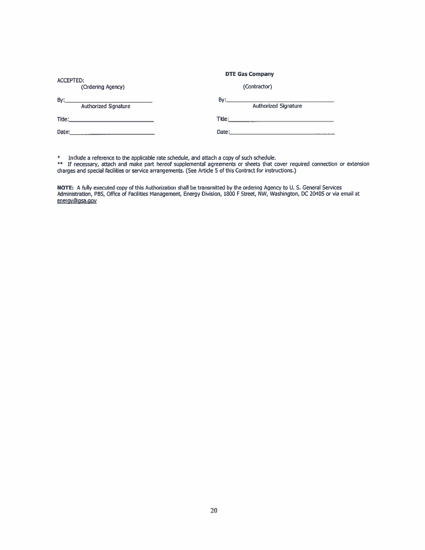| <b>ACCEPTED:</b>                   | <b>DTE Gas Company</b>             |
|------------------------------------|------------------------------------|
| (Ordering Agency)                  | (Contractor)                       |
| By:<br><b>Authorized Signature</b> | Ву:<br><b>Authorized Signature</b> |
| Title:                             | Title:                             |
| Date:                              | Date:                              |

\* Include a reference to the applicable rate schedule, and attach a copy of such schedule.<br>\*\* If necessary, attach and make part hereof supplemental agreements or sheets that cover required connection or extension<br>charges

NOTE: A fully executed copy of this Authorization shall be transmitted by the ordering Agency to U. S. General Services<br>Administration, PBS, Office of Facilities Management, Energy Division, 1800 F Street, NW, Washington, energy@gsa.gov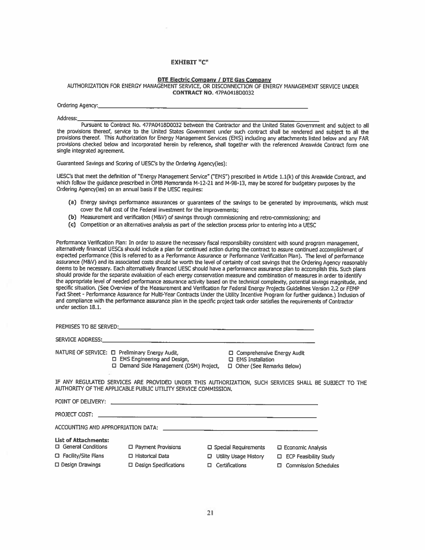#### **EXHIBIT "C"**

#### **DTE Electric Company / DTE Gas Company**

AUTHORIZATION FOR ENERGY MANAGEMENT SERVICE, OR DISCONNECTION OF ENERGY MANAGEMENT SERVICE UNDER **CONTRACT NO. 47PA0418D0032** 

Ordering Agency:

□ Design Drawings

Address:

Pursuant to Contract No. 47PA0418D0032 between the Contractor and the United States Government and subject to all the provisions thereof, service to the United States Government under such contract shall be rendered and subject to all the provisions thereof. This Authorization for Energy Management Services (EMS) including any attachments listed below and any FAR provisions checked below and incorporated herein by reference, shall together with the referenced Areawide Contract form one single integrated agreement.

Guaranteed Savings and Scoring of UESC's by the Ordering Agency(ies):

UESC's that meet the definition of "Energy Management Service" ("EMS") prescribed in Article 1.1(k) of this Areawide Contract, and which follow the guidance prescribed in OMB Memoranda M-12-21 and M-98-13, may be scored for budgetary purposes by the Ordering Agency(ies) on an annual basis if the UESC requires:

- (a) Energy savings performance assurances or guarantees of the savings to be generated by improvements, which must cover the full cost of the Federal investment for the improvements;
- (b) Measurement and verification (M&V) of savings through commissioning and retro-commissioning; and
- (c) Competition or an alternatives analysis as part of the selection process prior to entering into a UESC

Performance Verification Plan: In order to assure the necessary fiscal responsibility consistent with sound program management, alternatively financed UESCs should include a plan for continued action during the contract to assure continued accomplishment of expected performance (this is referred to as a Performance Assurance or Performance Verification Plan). The level of performance assurance (M&V) and its associated costs should be worth the level of certainty of cost savings that the Ordering Agency reasonably deems to be necessary. Each alternatively financed UESC should have a performance assurance plan to accomplish this. Such plans should provide for the separate evaluation of each energy conservation measure and combination of measures in order to identify the appropriate level of needed performance assurance activity based on the technical complexity, potential savings magnitude, and specific situation. (See Overview of the Measurement and Verification for Federal Energy Projects Guidelines Version 2.2 or FEMP Fact Sheet - Performance Assurance for Multi-Year Contracts Under the Utility Incentive Program for further guidance.) Inclusion of and compliance with the performance assurance plan in the specific project task order satisfies the requirements of Contractor under section 18.1.

|                                                          | NATURE OF SERVICE: 0 Preliminary Energy Audit, 0 0 Comprehensive Energy Audit<br>D EMS Engineering and Design, D EMS Installation<br>□ Demand Side Management (DSM) Project, □ Other (See Remarks Below) |                                |                                |  |
|----------------------------------------------------------|----------------------------------------------------------------------------------------------------------------------------------------------------------------------------------------------------------|--------------------------------|--------------------------------|--|
|                                                          | IF ANY REGULATED SERVICES ARE PROVIDED UNDER THIS AUTHORIZATION, SUCH SERVICES SHALL, BE SUBJECT TO THE<br>AUTHORITY OF THE APPLICABLE PUBLIC UTILITY SERVICE COMMISSION.                                |                                |                                |  |
|                                                          |                                                                                                                                                                                                          |                                |                                |  |
|                                                          |                                                                                                                                                                                                          |                                |                                |  |
|                                                          |                                                                                                                                                                                                          |                                |                                |  |
| <b>List of Attachments:</b><br>$\Box$ General Conditions | $\Box$ Payment Provisions                                                                                                                                                                                | $\square$ Special Requirements | <b>E</b> Economic Analysis     |  |
| $\Box$ Facility/Site Plans                               | □ Historical Data                                                                                                                                                                                        | <b>Q</b> Utility Usage History | <b>D</b> ECP Feasibility Study |  |

Design Specifications

**El** Commission Schedules

 $\Box$  Certifications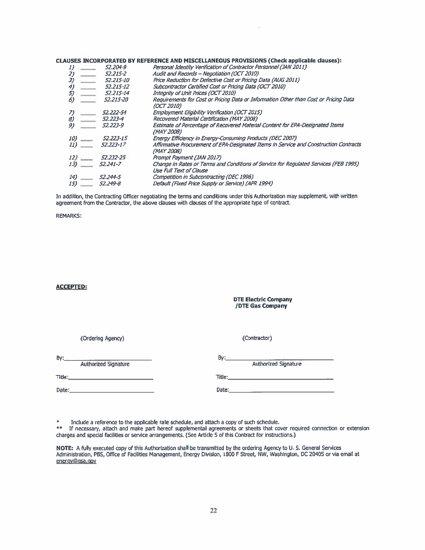CLAUSES INCORPORATED BY REFERENCE AND MISCELLANEOUS PROVISIONS (Check applicable clauses):

|               | Personal Identity Verification of Contractor Personnel (JAN 2011)                                               |
|---------------|-----------------------------------------------------------------------------------------------------------------|
| 52.215-2      | Audit and Records - Negotiation (OCT 2010)                                                                      |
| 52.215-10     | Price Reduction for Defective Cost or Pricing Data (AUG 2011)                                                   |
| 52.215-12     | Subcontractor Certified Cost or Pricing Data (OCT 2010)                                                         |
| 52.215-14     | Integrity of Unit Prices (OCT 2010)                                                                             |
| 52.215-20     | Requirements for Cost or Pricing Data or Information Other than Cost or Pricing Data<br><i>(OCT 2010)</i>       |
| 52.222-54     | Employment Eligibility Verification (OCT 2015)                                                                  |
| 52.223-4      | Recovered Material Certification (MAY 2008)                                                                     |
| 52.223-9      | Estimate of Percentage of Recovered Material Content for EPA-Designated Items<br>(MAY 2008)                     |
| 52.223-15     | Energy Efficiency in Energy-Consuming Products (DEC 2007)                                                       |
| $52.223 - 17$ | Affirmative Procurement of EPA-Designated Items in Service and Construction Contracts<br>(MAY 2008)             |
| 52.232-25     | Prompt Payment (JAN 2017)                                                                                       |
| 52.241-7      | Change in Rates or Terms and Conditions of Service for Regulated Services (FEB 1995)<br>Use Full Text of Clause |
| 52.244-5      | Competition in Subcontracting (DEC 1996)                                                                        |
| 52.249-8      | Default (Fixed Price Supply or Service) (APR 1994)                                                              |
|               | 52.204-9                                                                                                        |

In addition, the Contracting Officer negotiating the terms and conditions under this Authorization may supplement, with written agreement from the Contractor, the above clauses with clauses of the appropriate type of contract.

**REMARKS:** 

#### **ACCEPTED:**

#### **DTE Electric Company /DTE Gas Company**

(Contractor)

(Ordering Agency)

 $By:$ Authorized Signature

Authorized Signature Title: **The Commission Commission Commission** 

Date:  $\qquad \qquad$ 

 $\star$ Include a reference to the applicable rate schedule, and attach a copy of such schedule.

\*\* If necessary, attach and make part hereof supplemental agreements or sheets that cover required connection or extension charges and special facilities or service arrangements. (See Article 5 of this Contract for instructions.)

By:

NOTE: A fully executed copy of this Authorization shall be transmitted by the ordering Agency to U. S. General Services Administration, PBS, Office of Facilities Management, Energy Division, 1800 F Street, NW, Washington, energy@gsa.gov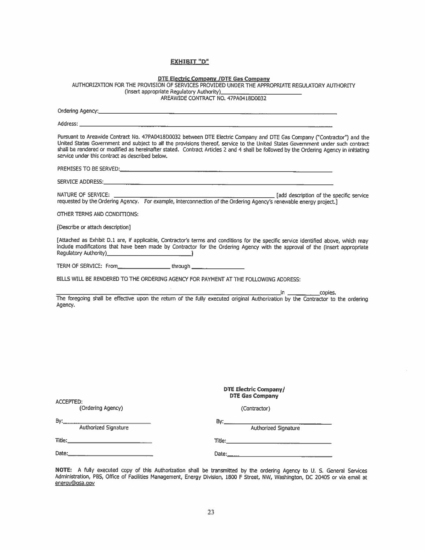## **EXHIBIT "D"**

DTE Electric Company /DTE Gas Company<br>AUTHORIZATION FOR THE PROVISION OF SERVICES PROVIDED UNDER THE APPROPRIATE REGULATORY AUTHORITY<br>AREAWIDE CONTRACT NO. 47PA0418D0032

| service under this contract as described below.                                                                                          | Pursuant to Areawide Contract No. 47PA0418D0032 between DTE Electric Company and DTE Gas Company ("Contractor") and the<br>United States Government and subject to all the provisions thereof, service to the United States Government under such contract<br>shall be rendered or modified as hereinafter stated. Contract Articles 2 and 4 shall be followed by the Ordering Agency in initiating |
|------------------------------------------------------------------------------------------------------------------------------------------|-----------------------------------------------------------------------------------------------------------------------------------------------------------------------------------------------------------------------------------------------------------------------------------------------------------------------------------------------------------------------------------------------------|
|                                                                                                                                          |                                                                                                                                                                                                                                                                                                                                                                                                     |
|                                                                                                                                          |                                                                                                                                                                                                                                                                                                                                                                                                     |
| NATURE OF SERVICE:<br>requested by the Ordering Agency. For example, interconnection of the Ordering Agency's renewable energy project.] | and description of the specific service                                                                                                                                                                                                                                                                                                                                                             |
| OTHER TERMS AND CONDITIONS:                                                                                                              |                                                                                                                                                                                                                                                                                                                                                                                                     |
| Describe or attach description]                                                                                                          |                                                                                                                                                                                                                                                                                                                                                                                                     |
|                                                                                                                                          | [Attached as Exhibit D.1 are, if applicable, Contractor's terms and conditions for the specific service identified above, which may<br>include modifications that have been made by Contractor for the Ordering Agency with the approval of the (insert appropriate                                                                                                                                 |
| TERM OF SERVICE: From________________________through ___________________________                                                         |                                                                                                                                                                                                                                                                                                                                                                                                     |
| BILLS WILL BE RENDERED TO THE ORDERING AGENCY FOR PAYMENT AT THE FOLLOWING ADDRESS:                                                      |                                                                                                                                                                                                                                                                                                                                                                                                     |
| Agency.                                                                                                                                  | in _______________copies.<br>The foregoing shall be effective upon the return of the fully executed original Authorization by the Contractor to the ordering                                                                                                                                                                                                                                        |
| <b>ACCEPTED:</b><br>(Ordering Agency)                                                                                                    | <b>DTE Electric Company/</b><br><b>DTE Gas Company</b><br>(Contractor)                                                                                                                                                                                                                                                                                                                              |
| By:____                                                                                                                                  | By:___________                                                                                                                                                                                                                                                                                                                                                                                      |
| Authorized Signature<br>Title:____                                                                                                       | Authorized Signature                                                                                                                                                                                                                                                                                                                                                                                |
|                                                                                                                                          |                                                                                                                                                                                                                                                                                                                                                                                                     |
| $\sim$ $\sim$                                                                                                                            |                                                                                                                                                                                                                                                                                                                                                                                                     |

NOTE: A fully executed copy of this Authorization shall be transmitted by the ordering Agency to U. S. General Services<br>Administration, PBS, Office of Facilities Management, Energy Division, 1800 F Street, NW, Washington, energy@gsa.gov